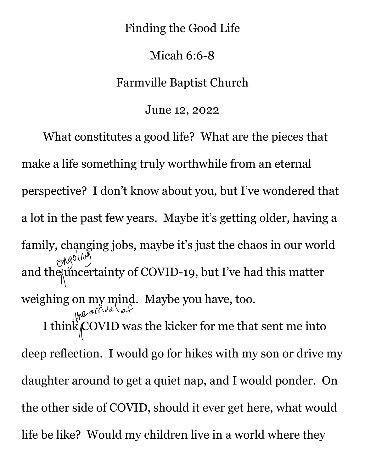## Finding the Good Life

## Micah 6:6-8

## Farmville Baptist Church

June 12, 2022

What constitutes a good life? What are the pieces that make a life something truly worthwhile from an eternal perspective? I don't know about you, but I've wondered that a lot in the past few years. Maybe it's getting older, having a family, changing jobs, maybe it's just the chaos in our world  $\cos(\theta)$ and the uncertainty of COVID-19, but I've had this matter weighing on my mind. Maybe you have, too. I think COVID was the kicker for me that sent me into deep reflection. I would go for hikes with my son or drive my daughter around to get a quiet nap, and I would ponder. On the other side of COVID, should it ever get here, what would life be like? Would my children live in a world where they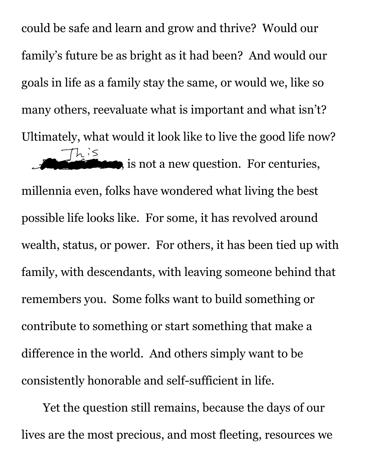could be safe and learn and grow and thrive? Would our family's future be as bright as it had been? And would our goals in life as a family stay the same, or would we, like so many others, reevaluate what is important and what isn't? Ultimately, what would it look like to live the good life now?  $Th<sup>i</sup>$  is not a new question. For centuries,

millennia even, folks have wondered what living the best possible life looks like. For some, it has revolved around wealth, status, or power. For others, it has been tied up with family, with descendants, with leaving someone behind that remembers you. Some folks want to build something or contribute to something or start something that make a difference in the world. And others simply want to be consistently honorable and self-sufficient in life.

Yet the question still remains, because the days of our lives are the most precious, and most fleeting, resources we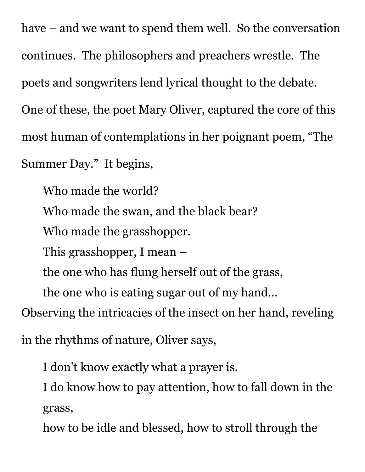have – and we want to spend them well. So the conversation continues. The philosophers and preachers wrestle. The poets and songwriters lend lyrical thought to the debate. One of these, the poet Mary Oliver, captured the core of this most human of contemplations in her poignant poem, "The Summer Day." It begins,

Who made the world?

Who made the swan, and the black bear?

Who made the grasshopper.

This grasshopper, I mean –

the one who has flung herself out of the grass,

the one who is eating sugar out of my hand…

Observing the intricacies of the insect on her hand, reveling

in the rhythms of nature, Oliver says,

I don't know exactly what a prayer is.

I do know how to pay attention, how to fall down in the grass,

how to be idle and blessed, how to stroll through the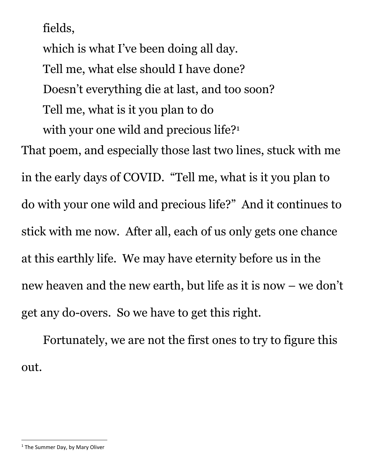fields,

which is what I've been doing all day. Tell me, what else should I have done? Doesn't everything die at last, and too soon? Tell me, what is it you plan to do with your one wild and precious life?<sup>1</sup> That poem, and especially those last two lines, stuck with me in the early days of COVID. "Tell me, what is it you plan to do with your one wild and precious life?" And it continues to stick with me now. After all, each of us only gets one chance at this earthly life. We may have eternity before us in the new heaven and the new earth, but life as it is now – we don't get any do-overs. So we have to get this right.

Fortunately, we are not the first ones to try to figure this out.

 $1$  The Summer Day, by Mary Oliver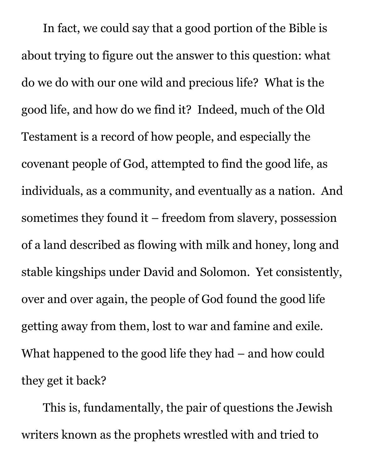In fact, we could say that a good portion of the Bible is about trying to figure out the answer to this question: what do we do with our one wild and precious life? What is the good life, and how do we find it? Indeed, much of the Old Testament is a record of how people, and especially the covenant people of God, attempted to find the good life, as individuals, as a community, and eventually as a nation. And sometimes they found it – freedom from slavery, possession of a land described as flowing with milk and honey, long and stable kingships under David and Solomon. Yet consistently, over and over again, the people of God found the good life getting away from them, lost to war and famine and exile. What happened to the good life they had – and how could they get it back?

This is, fundamentally, the pair of questions the Jewish writers known as the prophets wrestled with and tried to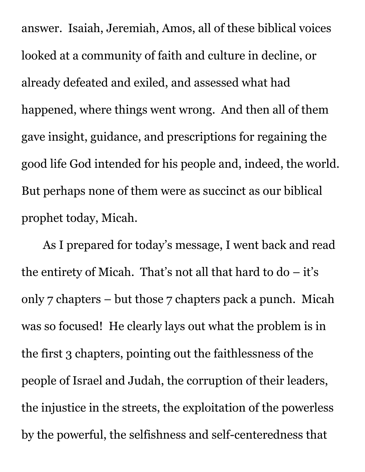answer. Isaiah, Jeremiah, Amos, all of these biblical voices looked at a community of faith and culture in decline, or already defeated and exiled, and assessed what had happened, where things went wrong. And then all of them gave insight, guidance, and prescriptions for regaining the good life God intended for his people and, indeed, the world. But perhaps none of them were as succinct as our biblical prophet today, Micah.

As I prepared for today's message, I went back and read the entirety of Micah. That's not all that hard to  $do - it's$ only 7 chapters – but those 7 chapters pack a punch. Micah was so focused! He clearly lays out what the problem is in the first 3 chapters, pointing out the faithlessness of the people of Israel and Judah, the corruption of their leaders, the injustice in the streets, the exploitation of the powerless by the powerful, the selfishness and self-centeredness that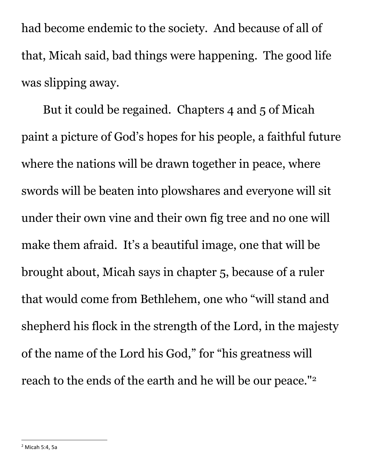had become endemic to the society. And because of all of that, Micah said, bad things were happening. The good life was slipping away.

But it could be regained. Chapters 4 and 5 of Micah paint a picture of God's hopes for his people, a faithful future where the nations will be drawn together in peace, where swords will be beaten into plowshares and everyone will sit under their own vine and their own fig tree and no one will make them afraid. It's a beautiful image, one that will be brought about, Micah says in chapter 5, because of a ruler that would come from Bethlehem, one who "will stand and shepherd his flock in the strength of the Lord, in the majesty of the name of the Lord his God," for "his greatness will reach to the ends of the earth and he will be our peace." $^{\rm 2}$ 

<sup>2</sup> Micah 5:4, 5a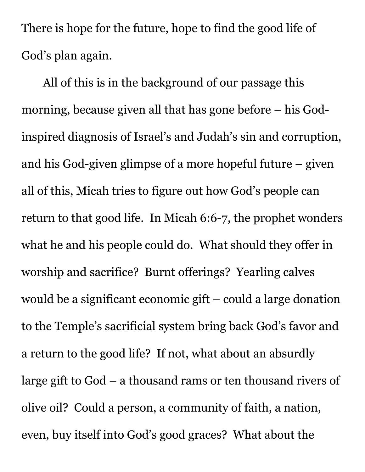There is hope for the future, hope to find the good life of God's plan again.

All of this is in the background of our passage this morning, because given all that has gone before – his Godinspired diagnosis of Israel's and Judah's sin and corruption, and his God-given glimpse of a more hopeful future – given all of this, Micah tries to figure out how God's people can return to that good life. In Micah 6:6-7, the prophet wonders what he and his people could do. What should they offer in worship and sacrifice? Burnt offerings? Yearling calves would be a significant economic gift – could a large donation to the Temple's sacrificial system bring back God's favor and a return to the good life? If not, what about an absurdly large gift to God – a thousand rams or ten thousand rivers of olive oil? Could a person, a community of faith, a nation, even, buy itself into God's good graces? What about the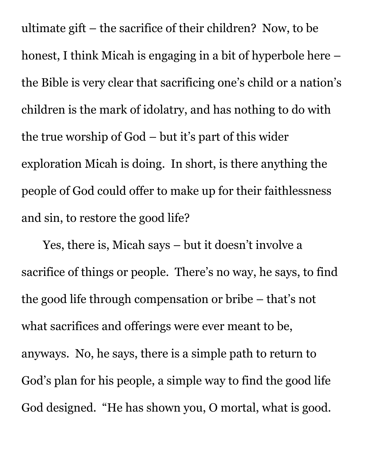ultimate gift – the sacrifice of their children? Now, to be honest, I think Micah is engaging in a bit of hyperbole here – the Bible is very clear that sacrificing one's child or a nation's children is the mark of idolatry, and has nothing to do with the true worship of God – but it's part of this wider exploration Micah is doing. In short, is there anything the people of God could offer to make up for their faithlessness and sin, to restore the good life?

Yes, there is, Micah says – but it doesn't involve a sacrifice of things or people. There's no way, he says, to find the good life through compensation or bribe – that's not what sacrifices and offerings were ever meant to be, anyways. No, he says, there is a simple path to return to God's plan for his people, a simple way to find the good life God designed. "He has shown you, O mortal, what is good.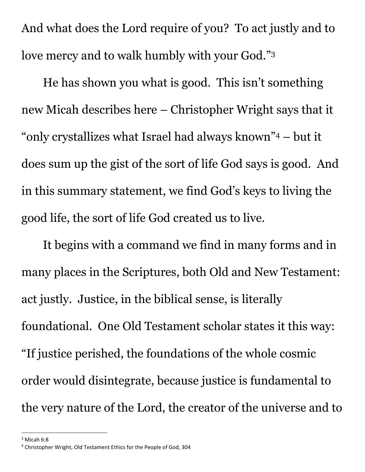And what does the Lord require of you? To act justly and to love mercy and to walk humbly with your God."<sup>3</sup>

He has shown you what is good. This isn't something new Micah describes here – Christopher Wright says that it "only crystallizes what Israel had always known" <sup>4</sup> – but it does sum up the gist of the sort of life God says is good. And in this summary statement, we find God's keys to living the good life, the sort of life God created us to live.

It begins with a command we find in many forms and in many places in the Scriptures, both Old and New Testament: act justly. Justice, in the biblical sense, is literally foundational. One Old Testament scholar states it this way: "If justice perished, the foundations of the whole cosmic order would disintegrate, because justice is fundamental to the very nature of the Lord, the creator of the universe and to

 $3$  Micah 6:8

<sup>4</sup> Christopher Wright, Old Testament Ethics for the People of God, 304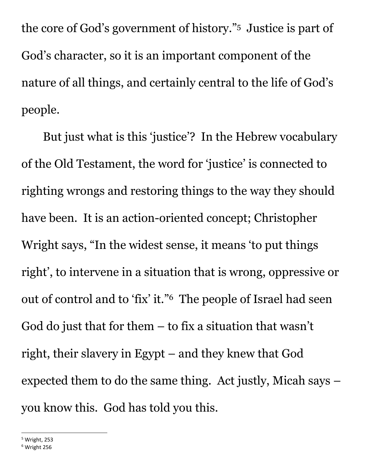the core of God's government of history."<sup>5</sup> Justice is part of God's character, so it is an important component of the nature of all things, and certainly central to the life of God's people.

But just what is this 'justice'? In the Hebrew vocabulary of the Old Testament, the word for 'justice' is connected to righting wrongs and restoring things to the way they should have been. It is an action-oriented concept; Christopher Wright says, "In the widest sense, it means 'to put things right', to intervene in a situation that is wrong, oppressive or out of control and to 'fix' it."<sup>6</sup> The people of Israel had seen God do just that for them – to fix a situation that wasn't right, their slavery in Egypt – and they knew that God expected them to do the same thing. Act justly, Micah says – you know this. God has told you this.

 $<sup>5</sup>$  Wright, 253</sup>

 $6$  Wright 256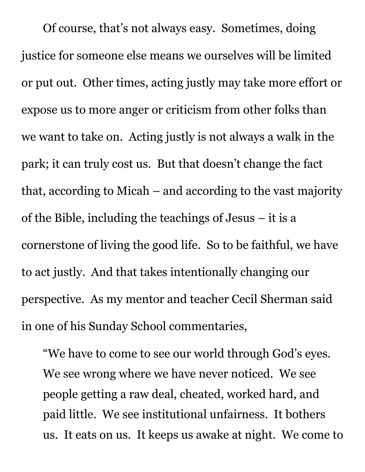Of course, that's not always easy. Sometimes, doing justice for someone else means we ourselves will be limited or put out. Other times, acting justly may take more effort or expose us to more anger or criticism from other folks than we want to take on. Acting justly is not always a walk in the park; it can truly cost us. But that doesn't change the fact that, according to Micah – and according to the vast majority of the Bible, including the teachings of Jesus – it is a cornerstone of living the good life. So to be faithful, we have to act justly. And that takes intentionally changing our perspective. As my mentor and teacher Cecil Sherman said in one of his Sunday School commentaries,

"We have to come to see our world through God's eyes. We see wrong where we have never noticed. We see people getting a raw deal, cheated, worked hard, and paid little. We see institutional unfairness. It bothers us. It eats on us. It keeps us awake at night. We come to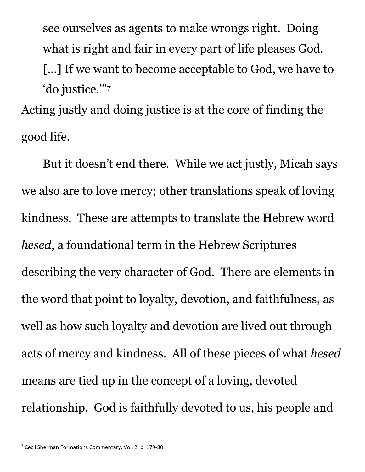see ourselves as agents to make wrongs right. Doing what is right and fair in every part of life pleases God. [...] If we want to become acceptable to God, we have to 'do justice.'"<sup>7</sup>

Acting justly and doing justice is at the core of finding the good life.

But it doesn't end there. While we act justly, Micah says we also are to love mercy; other translations speak of loving kindness. These are attempts to translate the Hebrew word *hesed*, a foundational term in the Hebrew Scriptures describing the very character of God. There are elements in the word that point to loyalty, devotion, and faithfulness, as well as how such loyalty and devotion are lived out through acts of mercy and kindness. All of these pieces of what *hesed*  means are tied up in the concept of a loving, devoted relationship. God is faithfully devoted to us, his people and

<sup>7</sup> Cecil Sherman Formations Commentary, Vol. 2, p. 179-80.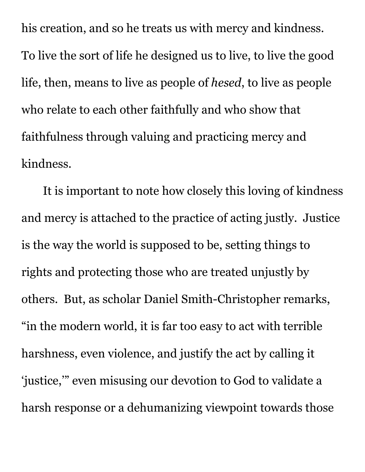his creation, and so he treats us with mercy and kindness. To live the sort of life he designed us to live, to live the good life, then, means to live as people of *hesed*, to live as people who relate to each other faithfully and who show that faithfulness through valuing and practicing mercy and kindness.

It is important to note how closely this loving of kindness and mercy is attached to the practice of acting justly. Justice is the way the world is supposed to be, setting things to rights and protecting those who are treated unjustly by others. But, as scholar Daniel Smith-Christopher remarks, "in the modern world, it is far too easy to act with terrible harshness, even violence, and justify the act by calling it 'justice,'" even misusing our devotion to God to validate a harsh response or a dehumanizing viewpoint towards those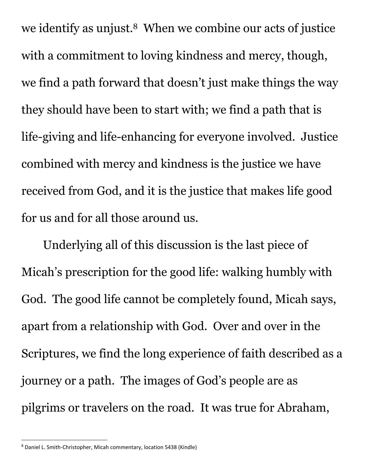we identify as unjust.<sup>8</sup> When we combine our acts of justice with a commitment to loving kindness and mercy, though, we find a path forward that doesn't just make things the way they should have been to start with; we find a path that is life-giving and life-enhancing for everyone involved. Justice combined with mercy and kindness is the justice we have received from God, and it is the justice that makes life good for us and for all those around us.

Underlying all of this discussion is the last piece of Micah's prescription for the good life: walking humbly with God. The good life cannot be completely found, Micah says, apart from a relationship with God. Over and over in the Scriptures, we find the long experience of faith described as a journey or a path. The images of God's people are as pilgrims or travelers on the road. It was true for Abraham,

<sup>8</sup> Daniel L. Smith-Christopher, Micah commentary, location 5438 (Kindle)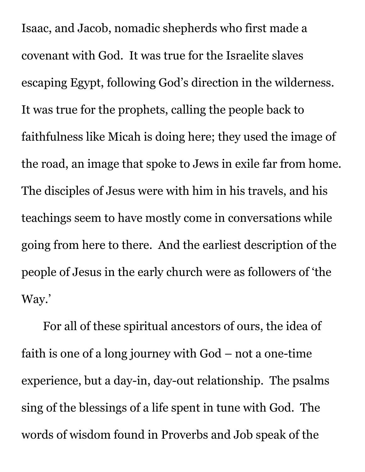Isaac, and Jacob, nomadic shepherds who first made a covenant with God. It was true for the Israelite slaves escaping Egypt, following God's direction in the wilderness. It was true for the prophets, calling the people back to faithfulness like Micah is doing here; they used the image of the road, an image that spoke to Jews in exile far from home. The disciples of Jesus were with him in his travels, and his teachings seem to have mostly come in conversations while going from here to there. And the earliest description of the people of Jesus in the early church were as followers of 'the Way.'

For all of these spiritual ancestors of ours, the idea of faith is one of a long journey with God – not a one-time experience, but a day-in, day-out relationship. The psalms sing of the blessings of a life spent in tune with God. The words of wisdom found in Proverbs and Job speak of the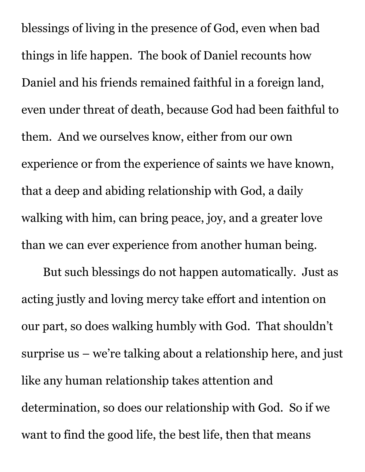blessings of living in the presence of God, even when bad things in life happen. The book of Daniel recounts how Daniel and his friends remained faithful in a foreign land, even under threat of death, because God had been faithful to them. And we ourselves know, either from our own experience or from the experience of saints we have known, that a deep and abiding relationship with God, a daily walking with him, can bring peace, joy, and a greater love than we can ever experience from another human being.

But such blessings do not happen automatically. Just as acting justly and loving mercy take effort and intention on our part, so does walking humbly with God. That shouldn't surprise us – we're talking about a relationship here, and just like any human relationship takes attention and determination, so does our relationship with God. So if we want to find the good life, the best life, then that means